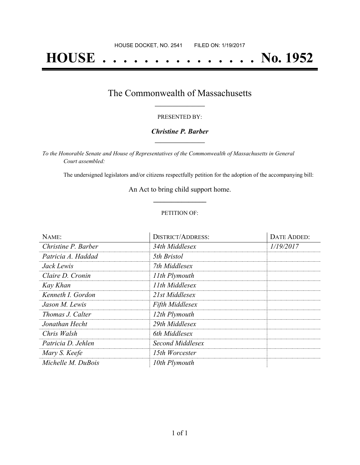# **HOUSE . . . . . . . . . . . . . . . No. 1952**

### The Commonwealth of Massachusetts **\_\_\_\_\_\_\_\_\_\_\_\_\_\_\_\_\_**

#### PRESENTED BY:

#### *Christine P. Barber* **\_\_\_\_\_\_\_\_\_\_\_\_\_\_\_\_\_**

*To the Honorable Senate and House of Representatives of the Commonwealth of Massachusetts in General Court assembled:*

The undersigned legislators and/or citizens respectfully petition for the adoption of the accompanying bill:

An Act to bring child support home. **\_\_\_\_\_\_\_\_\_\_\_\_\_\_\_**

#### PETITION OF:

| NAME:               | <b>DISTRICT/ADDRESS:</b> | <b>DATE ADDED:</b> |
|---------------------|--------------------------|--------------------|
| Christine P. Barber | 34th Middlesex           | 1/19/2017          |
| Patricia A. Haddad  | 5th Bristol              |                    |
| Jack Lewis          | 7th Middlesex            |                    |
| Claire D. Cronin    | 11th Plymouth            |                    |
| Kay Khan            | 11th Middlesex           |                    |
| Kenneth I. Gordon   | 21st Middlesex           |                    |
| Jason M. Lewis      | <b>Fifth Middlesex</b>   |                    |
| Thomas J. Calter    | 12th Plymouth            |                    |
| Jonathan Hecht      | 29th Middlesex           |                    |
| Chris Walsh         | 6th Middlesex            |                    |
| Patricia D. Jehlen  | Second Middlesex         |                    |
| Mary S. Keefe       | 15th Worcester           |                    |
| Michelle M. DuBois  | 10th Plymouth            |                    |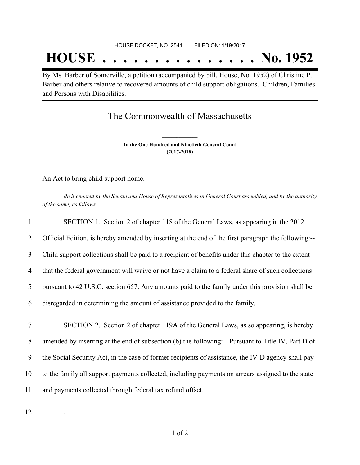## **HOUSE . . . . . . . . . . . . . . . No. 1952**

By Ms. Barber of Somerville, a petition (accompanied by bill, House, No. 1952) of Christine P. Barber and others relative to recovered amounts of child support obligations. Children, Families and Persons with Disabilities.

## The Commonwealth of Massachusetts

**In the One Hundred and Ninetieth General Court (2017-2018) \_\_\_\_\_\_\_\_\_\_\_\_\_\_\_**

**\_\_\_\_\_\_\_\_\_\_\_\_\_\_\_**

An Act to bring child support home.

Be it enacted by the Senate and House of Representatives in General Court assembled, and by the authority *of the same, as follows:*

| 1              | SECTION 1. Section 2 of chapter 118 of the General Laws, as appearing in the 2012                   |
|----------------|-----------------------------------------------------------------------------------------------------|
| 2              | Official Edition, is hereby amended by inserting at the end of the first paragraph the following:-- |
| 3              | Child support collections shall be paid to a recipient of benefits under this chapter to the extent |
| $\overline{4}$ | that the federal government will waive or not have a claim to a federal share of such collections   |
| 5              | pursuant to 42 U.S.C. section 657. Any amounts paid to the family under this provision shall be     |
| 6              | disregarded in determining the amount of assistance provided to the family.                         |
|                |                                                                                                     |
| 7              | SECTION 2. Section 2 of chapter 119A of the General Laws, as so appearing, is hereby                |
| 8              | amended by inserting at the end of subsection (b) the following:-- Pursuant to Title IV, Part D of  |
| 9              | the Social Security Act, in the case of former recipients of assistance, the IV-D agency shall pay  |
| 10             | to the family all support payments collected, including payments on arrears assigned to the state   |
| 11             | and payments collected through federal tax refund offset.                                           |
|                |                                                                                                     |

12 .